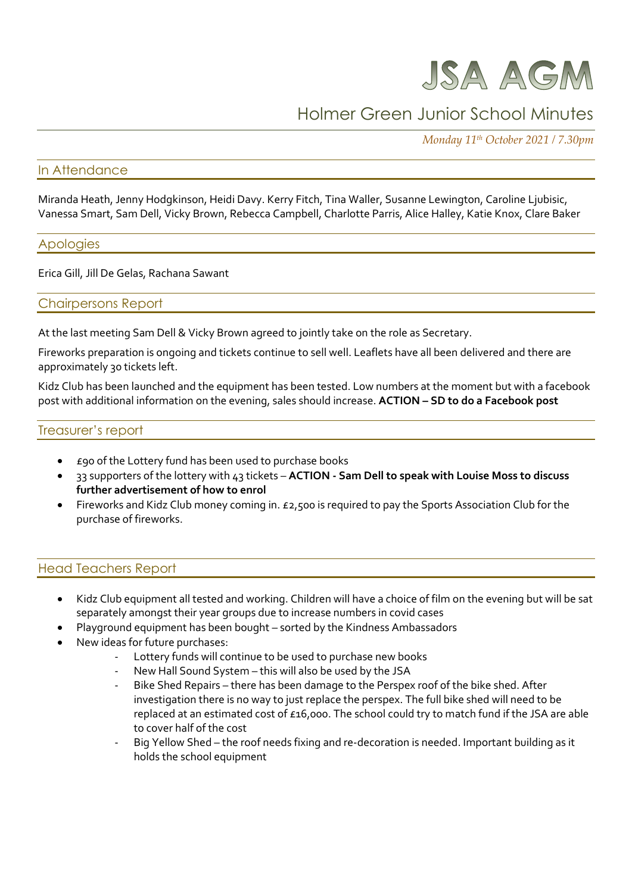

# Holmer Green Junior School Minutes

*Monday 11th October 2021 / 7.30pm*

## In Attendance

Miranda Heath, Jenny Hodgkinson, Heidi Davy. Kerry Fitch, Tina Waller, Susanne Lewington, Caroline Ljubisic, Vanessa Smart, Sam Dell, Vicky Brown, Rebecca Campbell, Charlotte Parris, Alice Halley, Katie Knox, Clare Baker

#### Apologies

Erica Gill, Jill De Gelas, Rachana Sawant

#### Chairpersons Report

At the last meeting Sam Dell & Vicky Brown agreed to jointly take on the role as Secretary.

Fireworks preparation is ongoing and tickets continue to sell well. Leaflets have all been delivered and there are approximately 30 tickets left.

Kidz Club has been launched and the equipment has been tested. Low numbers at the moment but with a facebook post with additional information on the evening, sales should increase. **ACTION – SD to do a Facebook post**

#### Treasurer's report

- £90 of the Lottery fund has been used to purchase books
- 33 supporters of the lottery with 43 tickets **ACTION - Sam Dell to speak with Louise Moss to discuss further advertisement of how to enrol**
- Fireworks and Kidz Club money coming in. £2,500 is required to pay the Sports Association Club for the purchase of fireworks.

#### Head Teachers Report

- Kidz Club equipment all tested and working. Children will have a choice of film on the evening but will be sat separately amongst their year groups due to increase numbers in covid cases
- Playground equipment has been bought sorted by the Kindness Ambassadors
- New ideas for future purchases:
	- Lottery funds will continue to be used to purchase new books
	- New Hall Sound System this will also be used by the JSA
	- Bike Shed Repairs there has been damage to the Perspex roof of the bike shed. After investigation there is no way to just replace the perspex. The full bike shed will need to be replaced at an estimated cost of £16,000. The school could try to match fund if the JSA are able to cover half of the cost
	- Big Yellow Shed the roof needs fixing and re-decoration is needed. Important building as it holds the school equipment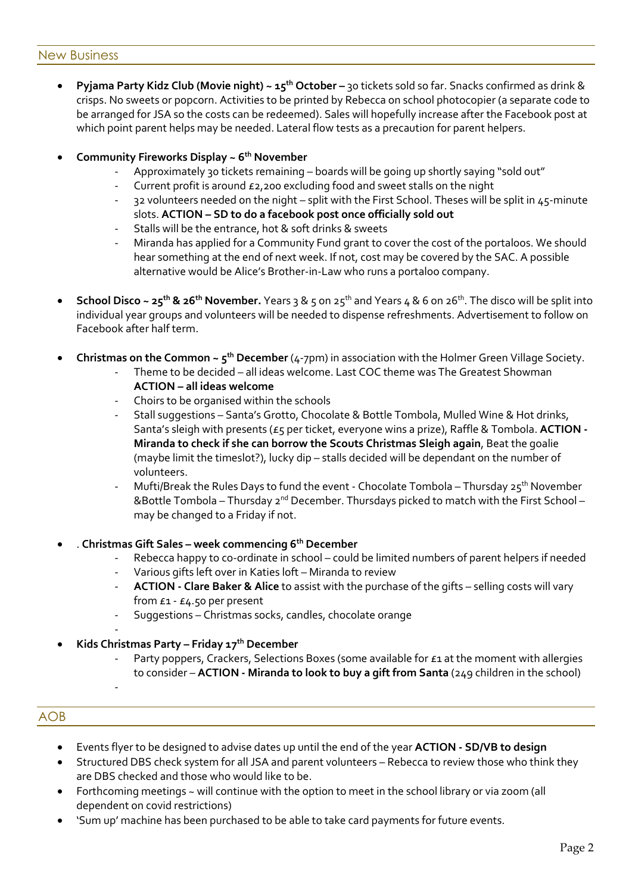#### New Business

 **Pyjama Party Kidz Club (Movie night) ~ 15th October –** 30 tickets sold so far. Snacks confirmed as drink & crisps. No sweets or popcorn. Activities to be printed by Rebecca on school photocopier (a separate code to be arranged for JSA so the costs can be redeemed). Sales will hopefully increase after the Facebook post at which point parent helps may be needed. Lateral flow tests as a precaution for parent helpers.

## **Community Fireworks Display ~ 6th November**

- Approximately 30 tickets remaining boards will be going up shortly saying "sold out"
- Current profit is around £2,200 excluding food and sweet stalls on the night
- 32 volunteers needed on the night split with the First School. Theses will be split in 45-minute slots. **ACTION – SD to do a facebook post once officially sold out**
- Stalls will be the entrance, hot & soft drinks & sweets
- Miranda has applied for a Community Fund grant to cover the cost of the portaloos. We should hear something at the end of next week. If not, cost may be covered by the SAC. A possible alternative would be Alice's Brother-in-Law who runs a portaloo company.
- **School Disco ~ 25th & 26th November.** Years 3 & 5 on 25th and Years 4 & 6 on 26th . The disco will be split into individual year groups and volunteers will be needed to dispense refreshments. Advertisement to follow on Facebook after half term.
- **Christmas on the Common ~ 5th December** (4-7pm) in association with the Holmer Green Village Society.
	- Theme to be decided all ideas welcome. Last COC theme was The Greatest Showman **ACTION – all ideas welcome**
	- Choirs to be organised within the schools
	- Stall suggestions Santa's Grotto, Chocolate & Bottle Tombola, Mulled Wine & Hot drinks, Santa's sleigh with presents (£5 per ticket, everyone wins a prize), Raffle & Tombola. **ACTION - Miranda to check if she can borrow the Scouts Christmas Sleigh again**, Beat the goalie (maybe limit the timeslot?), lucky dip – stalls decided will be dependant on the number of volunteers.
	- Mufti/Break the Rules Days to fund the event Chocolate Tombola Thursday  $25<sup>th</sup>$  November &Bottle Tombola – Thursday 2nd December. Thursdays picked to match with the First School – may be changed to a Friday if not.
- . **Christmas Gift Sales – week commencing 6th December**
	- Rebecca happy to co-ordinate in school could be limited numbers of parent helpers if needed
	- Various gifts left over in Katies loft Miranda to review
	- **ACTION - Clare Baker & Alice** to assist with the purchase of the gifts selling costs will vary from £1 - £4.50 per present
	- Suggestions Christmas socks, candles, chocolate orange
- **Kids Christmas Party – Friday 17th December**
	- Party poppers, Crackers, Selections Boxes (some available for £1 at the moment with allergies to consider – **ACTION - Miranda to look to buy a gift from Santa** (249 children in the school)

# AOB

-

- Events flyer to be designed to advise dates up until the end of the year **ACTION - SD/VB to design**
- Structured DBS check system for all JSA and parent volunteers Rebecca to review those who think they are DBS checked and those who would like to be.
- Forthcoming meetings ~ will continue with the option to meet in the school library or via zoom (all dependent on covid restrictions)
- 'Sum up' machine has been purchased to be able to take card payments for future events.